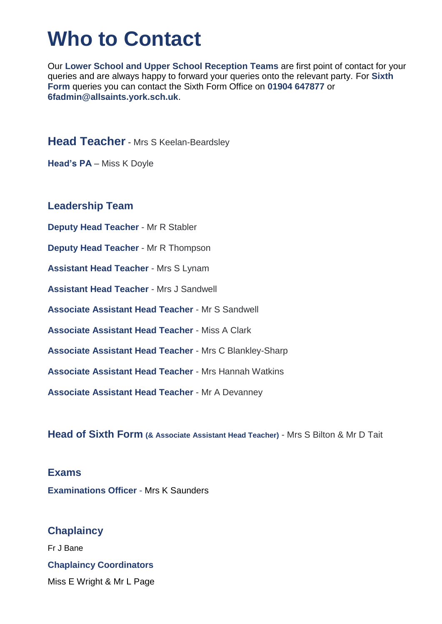# **Who to Contact**

Our **Lower School and Upper School Reception Teams** are first point of contact for your queries and are always happy to forward your queries onto the relevant party. For **Sixth Form** queries you can contact the Sixth Form Office on **01904 647877** or **6fadmin@allsaints.york.sch.uk**.

**Head Teacher** - Mrs S Keelan-Beardsley

**Head's PA** – Miss K Doyle

#### **Leadership Team**

**Deputy Head Teacher** - Mr R Stabler **Deputy Head Teacher** - Mr R Thompson **Assistant Head Teacher** - Mrs S Lynam **Assistant Head Teacher** - Mrs J Sandwell **Associate Assistant Head Teacher** - Mr S Sandwell **Associate Assistant Head Teacher** - Miss A Clark **Associate Assistant Head Teacher** - Mrs C Blankley-Sharp **Associate Assistant Head Teacher** - Mrs Hannah Watkins **Associate Assistant Head Teacher** - Mr A Devanney

**Head of Sixth Form (& Associate Assistant Head Teacher)** - Mrs S Bilton & Mr D Tait

#### **Exams**

**Examinations Officer** - Mrs K Saunders

## **Chaplaincy**

Fr J Bane **Chaplaincy Coordinators** Miss E Wright & Mr L Page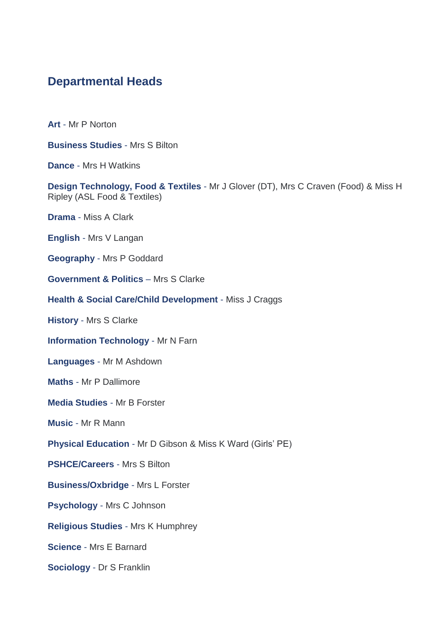## **Departmental Heads**

**Art** - Mr P Norton

**Business Studies** - Mrs S Bilton

**Dance** - Mrs H Watkins

**Design Technology, Food & Textiles** - Mr J Glover (DT), Mrs C Craven (Food) & Miss H Ripley (ASL Food & Textiles)

**Drama** - Miss A Clark

**English** - Mrs V Langan

**Geography** - Mrs P Goddard

**Government & Politics** – Mrs S Clarke

**Health & Social Care/Child Development** - Miss J Craggs

**History** - Mrs S Clarke

**Information Technology** - Mr N Farn

**Languages** - Mr M Ashdown

**Maths** - Mr P Dallimore

**Media Studies** - Mr B Forster

**Music** - Mr R Mann

**Physical Education** - Mr D Gibson & Miss K Ward (Girls' PE)

**PSHCE/Careers** - Mrs S Bilton

**Business/Oxbridge** - Mrs L Forster

**Psychology** - Mrs C Johnson

**Religious Studies** - Mrs K Humphrey

**Science** - Mrs E Barnard

**Sociology** - Dr S Franklin